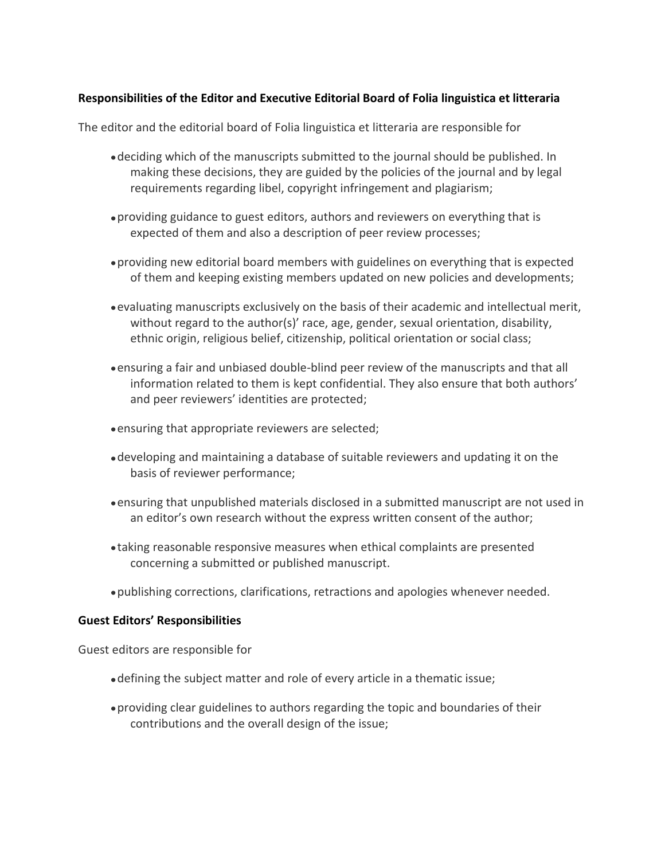# **Responsibilities of the Editor and Executive Editorial Board of Folia linguistica et litteraria**

The editor and the editorial board of Folia linguistica et litteraria are responsible for

- deciding which of the manuscripts submitted to the journal should be published. In making these decisions, they are guided by the policies of the journal and by legal requirements regarding libel, copyright infringement and plagiarism;
- providing guidance to guest editors, authors and reviewers on everything that is expected of them and also a description of peer review processes;
- providing new editorial board members with guidelines on everything that is expected of them and keeping existing members updated on new policies and developments;
- evaluating manuscripts exclusively on the basis of their academic and intellectual merit, without regard to the author(s)' race, age, gender, sexual orientation, disability, ethnic origin, religious belief, citizenship, political orientation or social class;
- ensuring a fair and unbiased double-blind peer review of the manuscripts and that all information related to them is kept confidential. They also ensure that both authors' and peer reviewers' identities are protected;
- ensuring that appropriate reviewers are selected;
- developing and maintaining a database of suitable reviewers and updating it on the basis of reviewer performance;
- ensuring that unpublished materials disclosed in a submitted manuscript are not used in an editor's own research without the express written consent of the author;
- taking reasonable responsive measures when ethical complaints are presented concerning a submitted or published manuscript.
- publishing corrections, clarifications, retractions and apologies whenever needed.

## **Guest Editors' Responsibilities**

Guest editors are responsible for

- defining the subject matter and role of every article in a thematic issue;
- providing clear guidelines to authors regarding the topic and boundaries of their contributions and the overall design of the issue;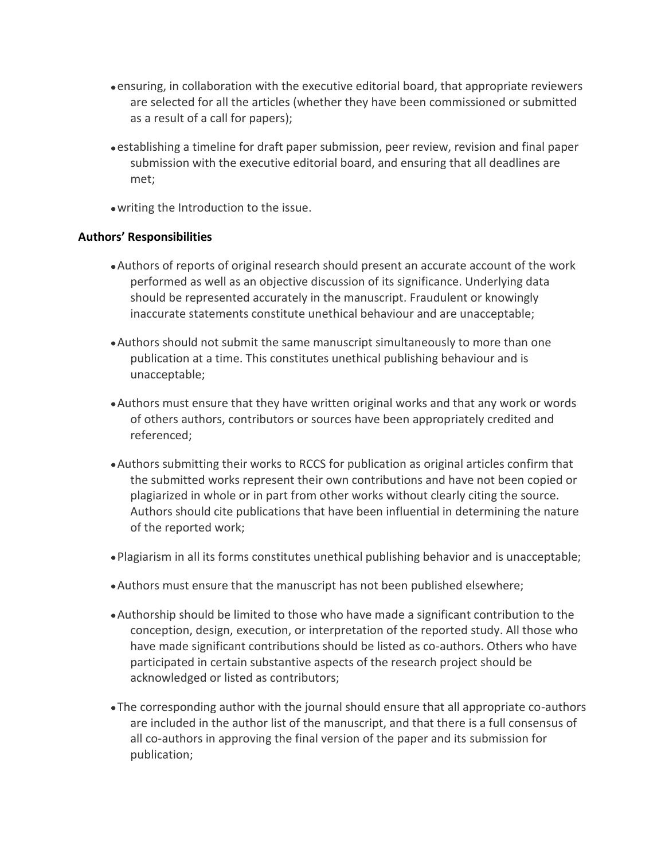- ensuring, in collaboration with the executive editorial board, that appropriate reviewers are selected for all the articles (whether they have been commissioned or submitted as a result of a call for papers);
- establishing a timeline for draft paper submission, peer review, revision and final paper submission with the executive editorial board, and ensuring that all deadlines are met;
- writing the Introduction to the issue.

# **Authors' Responsibilities**

- Authors of reports of original research should present an accurate account of the work performed as well as an objective discussion of its significance. Underlying data should be represented accurately in the manuscript. Fraudulent or knowingly inaccurate statements constitute unethical behaviour and are unacceptable;
- Authors should not submit the same manuscript simultaneously to more than one publication at a time. This constitutes unethical publishing behaviour and is unacceptable;
- Authors must ensure that they have written original works and that any work or words of others authors, contributors or sources have been appropriately credited and referenced;
- Authors submitting their works to RCCS for publication as original articles confirm that the submitted works represent their own contributions and have not been copied or plagiarized in whole or in part from other works without clearly citing the source. Authors should cite publications that have been influential in determining the nature of the reported work;
- Plagiarism in all its forms constitutes unethical publishing behavior and is unacceptable;
- Authors must ensure that the manuscript has not been published elsewhere;
- Authorship should be limited to those who have made a significant contribution to the conception, design, execution, or interpretation of the reported study. All those who have made significant contributions should be listed as co-authors. Others who have participated in certain substantive aspects of the research project should be acknowledged or listed as contributors;
- The corresponding author with the journal should ensure that all appropriate co-authors are included in the author list of the manuscript, and that there is a full consensus of all co-authors in approving the final version of the paper and its submission for publication;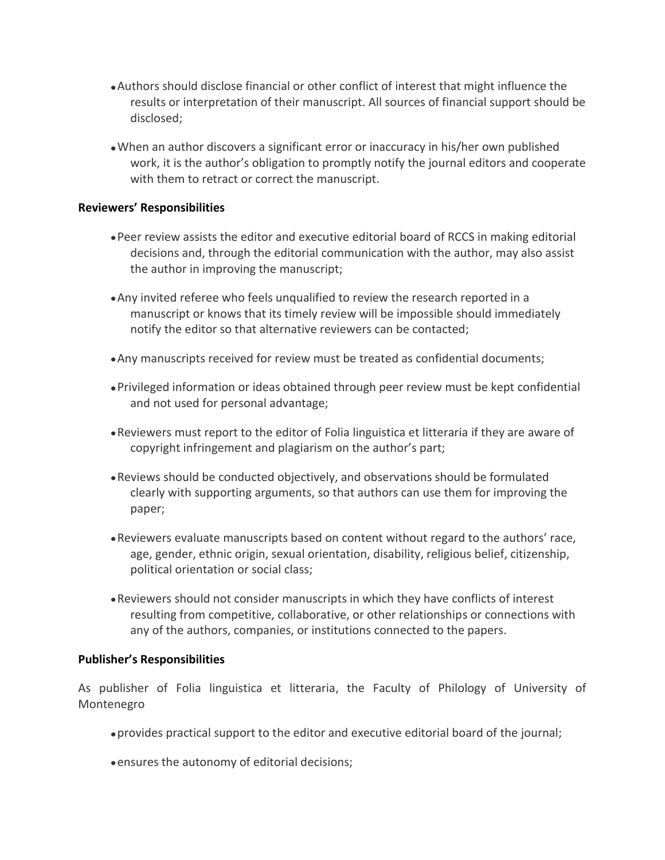- Authors should disclose financial or other conflict of interest that might influence the results or interpretation of their manuscript. All sources of financial support should be disclosed;
- When an author discovers a significant error or inaccuracy in his/her own published work, it is the author's obligation to promptly notify the journal editors and cooperate with them to retract or correct the manuscript.

### **Reviewers' Responsibilities**

- Peer review assists the editor and executive editorial board of RCCS in making editorial decisions and, through the editorial communication with the author, may also assist the author in improving the manuscript;
- Any invited referee who feels unqualified to review the research reported in a manuscript or knows that its timely review will be impossible should immediately notify the editor so that alternative reviewers can be contacted;
- Any manuscripts received for review must be treated as confidential documents;
- Privileged information or ideas obtained through peer review must be kept confidential and not used for personal advantage;
- Reviewers must report to the editor of Folia linguistica et litteraria if they are aware of copyright infringement and plagiarism on the author's part;
- Reviews should be conducted objectively, and observations should be formulated clearly with supporting arguments, so that authors can use them for improving the paper;
- Reviewers evaluate manuscripts based on content without regard to the authors' race, age, gender, ethnic origin, sexual orientation, disability, religious belief, citizenship, political orientation or social class;
- Reviewers should not consider manuscripts in which they have conflicts of interest resulting from competitive, collaborative, or other relationships or connections with any of the authors, companies, or institutions connected to the papers.

## **Publisher's Responsibilities**

As publisher of Folia linguistica et litteraria, the Faculty of Philology of University of Montenegro

- provides practical support to the editor and executive editorial board of the journal;
- ensures the autonomy of editorial decisions;